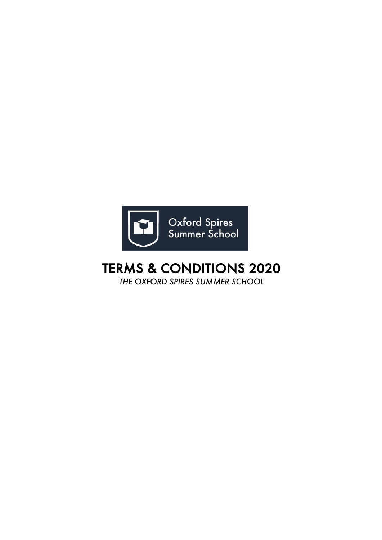

# TERMS & CONDITIONS 2020

*THE OXFORD SPIRES SUMMER SCHOOL*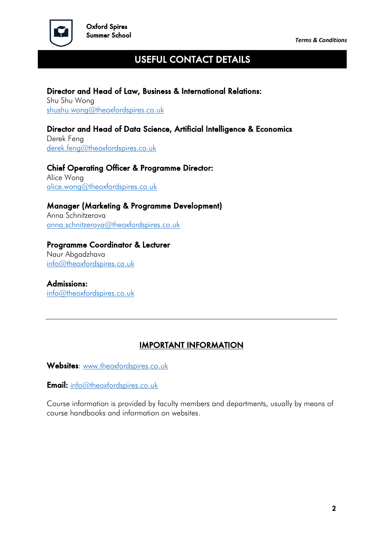

Ξ

## USEFUL CONTACT DETAILS

#### Director and Head of Law, Business & International Relations:

Shu Shu Wong shushu.wong@theoxfordspires.co.uk

#### Director and Head of Data Science, Artificial Intelligence & Economics

Derek Feng derek.feng@theoxfordspires.co.uk

#### Chief Operating Officer & Programme Director:

Alice Wong alice.wong@theoxfordspires.co.uk

#### Manager (Marketing & Programme Development)

Anna Schnitzerova anna.schnitzerova@theoxfordspires.co.uk

#### Programme Coordinator & Lecturer

Naur Abgadzhava info@theoxfordspires.co.uk

Admissions: info@theoxfordspires.co.uk

### IMPORTANT INFORMATION

Websites: www.theoxfordspires.co.uk

**Email:** info@theoxfordspires.co.uk

Course information is provided by faculty members and departments, usually by means of course handbooks and information on websites.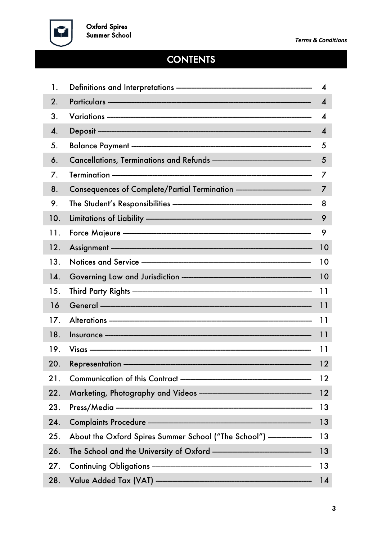

# **CONTENTS**

| 1.  |                                                                                                                                                                                                                                | 4                      |
|-----|--------------------------------------------------------------------------------------------------------------------------------------------------------------------------------------------------------------------------------|------------------------|
| 2.  | Particulars ——————————————————————————————                                                                                                                                                                                     | $\boldsymbol{\Lambda}$ |
| 3.  |                                                                                                                                                                                                                                | $\boldsymbol{\Lambda}$ |
| 4.  |                                                                                                                                                                                                                                | $\boldsymbol{4}$       |
| 5.  | Balance Payment - 2000 - 2000 - 2000 - 2000 - 2000 - 2000 - 2000 - 2000 - 2000 - 2000 - 2000 - 2000 - 2000 - 2000 - 2000 - 2000 - 2000 - 2000 - 2000 - 2000 - 2000 - 2000 - 2000 - 2000 - 2000 - 2000 - 2000 - 2000 - 2000 - 2 | 5                      |
| 6.  | Cancellations, Terminations and Refunds ——————————————                                                                                                                                                                         | $\overline{5}$         |
| 7.  |                                                                                                                                                                                                                                | 7                      |
| 8.  | Consequences of Complete/Partial Termination - The Consequences of Complete/Partial Termination                                                                                                                                | $\overline{7}$         |
| 9.  |                                                                                                                                                                                                                                | 8                      |
| 10. | Limitations of Liability - The Commission of Liability - The Commission of Liability - The Commission of Liability -                                                                                                           | 9                      |
| 11. |                                                                                                                                                                                                                                | 9                      |
| 12. | Assignment ————————————————————————————                                                                                                                                                                                        | 10                     |
| 13. | Notices and Service ————————————————————                                                                                                                                                                                       | 10                     |
| 14. |                                                                                                                                                                                                                                | 10                     |
| 15. |                                                                                                                                                                                                                                | 11                     |
| 16  |                                                                                                                                                                                                                                |                        |
| 17. | Alterations - 2000 11                                                                                                                                                                                                          |                        |
| 18. |                                                                                                                                                                                                                                | 11                     |
| 19. |                                                                                                                                                                                                                                | 11                     |
| 20. | Representation —————————————————————————                                                                                                                                                                                       | 12                     |
| 21. |                                                                                                                                                                                                                                | 12                     |
| 22. | Marketing, Photography and Videos ————————————————————                                                                                                                                                                         | 12                     |
| 23. |                                                                                                                                                                                                                                | 13                     |
| 24. |                                                                                                                                                                                                                                | 13                     |
| 25. | About the Oxford Spires Summer School ("The School") --------------- 13                                                                                                                                                        |                        |
| 26. |                                                                                                                                                                                                                                | 13                     |
| 27. | Continuing Obligations - The Continuing Obligations - The Continuing Obligations - The Continuing Obligations -                                                                                                                | 13                     |
| 28. |                                                                                                                                                                                                                                | 14                     |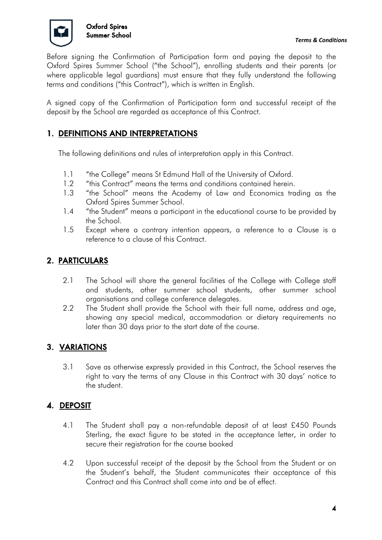

Before signing the Confirmation of Participation form and paying the deposit to the Oxford Spires Summer School ("the School"), enrolling students and their parents (or where applicable legal guardians) must ensure that they fully understand the following terms and conditions ("this Contract"), which is written in English.

A signed copy of the Confirmation of Participation form and successful receipt of the deposit by the School are regarded as acceptance of this Contract.

### 1. DEFINITIONS AND INTERPRETATIONS

The following definitions and rules of interpretation apply in this Contract.

- 1.1 "the College" means St Edmund Hall of the University of Oxford.
- 1.2 "this Contract" means the terms and conditions contained herein.
- 1.3 "the School" means the Academy of Law and Economics trading as the Oxford Spires Summer School.
- 1.4 "the Student" means a participant in the educational course to be provided by the School.
- 1.5 Except where a contrary intention appears, a reference to a Clause is a reference to a clause of this Contract.

## 2. PARTICULARS

- 2.1 The School will share the general facilities of the College with College staff and students, other summer school students, other summer school organisations and college conference delegates.
- 2.2 The Student shall provide the School with their full name, address and age, showing any special medical, accommodation or dietary requirements no later than 30 days prior to the start date of the course.

### 3. VARIATIONS

3.1 Save as otherwise expressly provided in this Contract, the School reserves the right to vary the terms of any Clause in this Contract with 30 days' notice to the student.

### 4. DEPOSIT

- 4.1 The Student shall pay a non-refundable deposit of at least £450 Pounds Sterling, the exact figure to be stated in the acceptance letter, in order to secure their registration for the course booked
- 4.2 Upon successful receipt of the deposit by the School from the Student or on the Student's behalf, the Student communicates their acceptance of this Contract and this Contract shall come into and be of effect.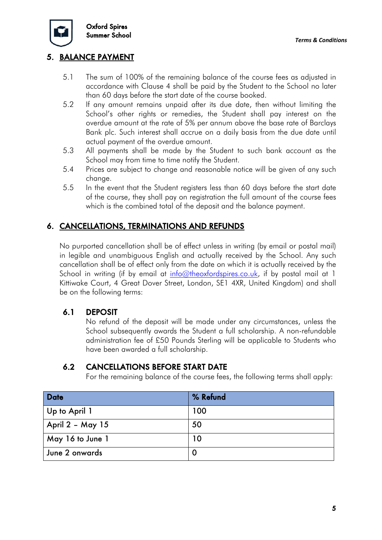

### 5. BALANCE PAYMENT

- 5.1 The sum of 100% of the remaining balance of the course fees as adjusted in accordance with Clause 4 shall be paid by the Student to the School no later than 60 days before the start date of the course booked.
- 5.2 If any amount remains unpaid after its due date, then without limiting the School's other rights or remedies, the Student shall pay interest on the overdue amount at the rate of 5% per annum above the base rate of Barclays Bank plc. Such interest shall accrue on a daily basis from the due date until actual payment of the overdue amount.
- 5.3 All payments shall be made by the Student to such bank account as the School may from time to time notify the Student.
- 5.4 Prices are subject to change and reasonable notice will be given of any such change.
- 5.5 In the event that the Student registers less than 60 days before the start date of the course, they shall pay on registration the full amount of the course fees which is the combined total of the deposit and the balance payment.

#### 6. CANCELLATIONS, TERMINATIONS AND REFUNDS

No purported cancellation shall be of effect unless in writing (by email or postal mail) in legible and unambiguous English and actually received by the School. Any such cancellation shall be of effect only from the date on which it is actually received by the School in writing (if by email at info@theoxfordspires.co.uk, if by postal mail at 1 Kittiwake Court, 4 Great Dover Street, London, SE1 4XR, United Kingdom) and shall be on the following terms:

#### 6.1 DEPOSIT

No refund of the deposit will be made under any circumstances, unless the School subsequently awards the Student a full scholarship. A non-refundable administration fee of £50 Pounds Sterling will be applicable to Students who have been awarded a full scholarship.

#### 6.2 CANCELLATIONS BEFORE START DATE

For the remaining balance of the course fees, the following terms shall apply:

| <b>Date</b>      | % Refund |
|------------------|----------|
| Up to April 1    | 100      |
| April 2 - May 15 | 50       |
| May 16 to June 1 | 10       |
| June 2 onwards   |          |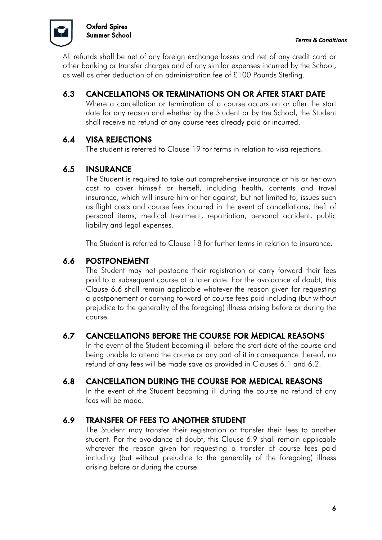

All refunds shall be net of any foreign exchange losses and net of any credit card or other banking or transfer charges and of any similar expenses incurred by the School, as well as after deduction of an administration fee of £100 Pounds Sterling.

## 6.3 CANCELLATIONS OR TERMINATIONS ON OR AFTER START DATE

Where a cancellation or termination of a course occurs on or after the start date for any reason and whether by the Student or by the School, the Student shall receive no refund of any course fees already paid or incurred.

#### 6.4 VISA REJECTIONS

The student is referred to Clause 19 for terms in relation to visa rejections.

#### 6.5 INSURANCE

The Student is required to take out comprehensive insurance at his or her own cost to cover himself or herself, including health, contents and travel insurance, which will insure him or her against, but not limited to, issues such as flight costs and course fees incurred in the event of cancellations, theft of personal items, medical treatment, repatriation, personal accident, public liability and legal expenses.

The Student is referred to Clause 18 for further terms in relation to insurance.

#### 6.6 POSTPONEMENT

The Student may not postpone their registration or carry forward their fees paid to a subsequent course at a later date. For the avoidance of doubt, this Clause 6.6 shall remain applicable whatever the reason given for requesting a postponement or carrying forward of course fees paid including (but without prejudice to the generality of the foregoing) illness arising before or during the course.

### 6.7 CANCELLATIONS BEFORE THE COURSE FOR MEDICAL REASONS

In the event of the Student becoming ill before the start date of the course and being unable to attend the course or any part of it in consequence thereof, no refund of any fees will be made save as provided in Clauses 6.1 and 6.2.

### 6.8 CANCELLATION DURING THE COURSE FOR MEDICAL REASONS

In the event of the Student becoming ill during the course no refund of any fees will be made.

### 6.9 TRANSFER OF FEES TO ANOTHER STUDENT

The Student may transfer their registration or transfer their fees to another student. For the avoidance of doubt, this Clause 6.9 shall remain applicable whatever the reason given for requesting a transfer of course fees paid including (but without prejudice to the generality of the foregoing) illness arising before or during the course.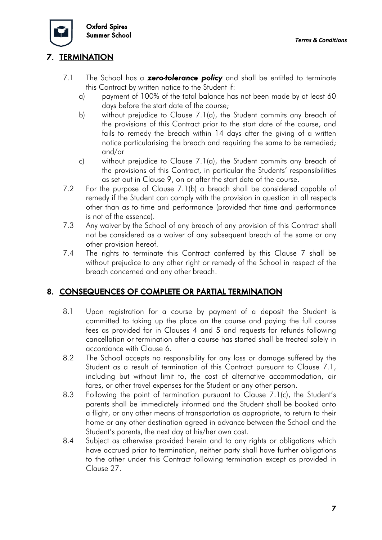

## 7. TERMINATION

- 7.1 The School has a *zero-tolerance policy* and shall be entitled to terminate this Contract by written notice to the Student if:
	- a) payment of 100% of the total balance has not been made by at least 60 days before the start date of the course;
	- b) without prejudice to Clause 7.1(a), the Student commits any breach of the provisions of this Contract prior to the start date of the course, and fails to remedy the breach within 14 days after the giving of a written notice particularising the breach and requiring the same to be remedied; and/or
	- c) without prejudice to Clause 7.1(a), the Student commits any breach of the provisions of this Contract, in particular the Students' responsibilities as set out in Clause 9, on or after the start date of the course.
- 7.2 For the purpose of Clause 7.1(b) a breach shall be considered capable of remedy if the Student can comply with the provision in question in all respects other than as to time and performance (provided that time and performance is not of the essence).
- 7.3 Any waiver by the School of any breach of any provision of this Contract shall not be considered as a waiver of any subsequent breach of the same or any other provision hereof.
- 7.4 The rights to terminate this Contract conferred by this Clause 7 shall be without prejudice to any other right or remedy of the School in respect of the breach concerned and any other breach.

### 8. CONSEQUENCES OF COMPLETE OR PARTIAL TERMINATION

- 8.1 Upon registration for a course by payment of a deposit the Student is committed to taking up the place on the course and paying the full course fees as provided for in Clauses 4 and 5 and requests for refunds following cancellation or termination after a course has started shall be treated solely in accordance with Clause 6.
- 8.2 The School accepts no responsibility for any loss or damage suffered by the Student as a result of termination of this Contract pursuant to Clause 7.1, including but without limit to, the cost of alternative accommodation, air fares, or other travel expenses for the Student or any other person.
- 8.3 Following the point of termination pursuant to Clause 7.1(c), the Student's parents shall be immediately informed and the Student shall be booked onto a flight, or any other means of transportation as appropriate, to return to their home or any other destination agreed in advance between the School and the Student's parents, the next day at his/her own cost.
- 8.4 Subject as otherwise provided herein and to any rights or obligations which have accrued prior to termination, neither party shall have further obligations to the other under this Contract following termination except as provided in Clause 27.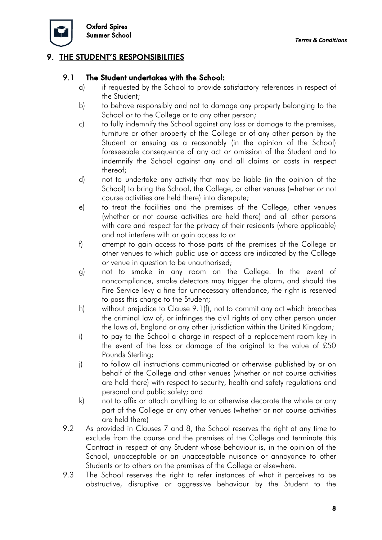

#### 9. THE STUDENT'S RESPONSIBILITIES

#### 9.1 The Student undertakes with the School:

- a) if requested by the School to provide satisfactory references in respect of the Student;
- b) to behave responsibly and not to damage any property belonging to the School or to the College or to any other person:
- c) to fully indemnify the School against any loss or damage to the premises, furniture or other property of the College or of any other person by the Student or ensuing as a reasonably (in the opinion of the School) foreseeable consequence of any act or omission of the Student and to indemnify the School against any and all claims or costs in respect thereof;
- d) not to undertake any activity that may be liable (in the opinion of the School) to bring the School, the College, or other venues (whether or not course activities are held there) into disrepute;
- e) to treat the facilities and the premises of the College, other venues (whether or not course activities are held there) and all other persons with care and respect for the privacy of their residents (where applicable) and not interfere with or gain access to or
- f) attempt to gain access to those parts of the premises of the College or other venues to which public use or access are indicated by the College or venue in question to be unauthorised;
- g) not to smoke in any room on the College. In the event of noncompliance, smoke detectors may trigger the alarm, and should the Fire Service levy a fine for unnecessary attendance, the right is reserved to pass this charge to the Student;
- h) without prejudice to Clause 9.1(f), not to commit any act which breaches the criminal law of, or infringes the civil rights of any other person under the laws of, England or any other jurisdiction within the United Kingdom;
- i) to pay to the School a charge in respect of a replacement room key in the event of the loss or damage of the original to the value of £50 Pounds Sterling;
- j) to follow all instructions communicated or otherwise published by or on behalf of the College and other venues (whether or not course activities are held there) with respect to security, health and safety regulations and personal and public safety; and
- k) not to affix or attach anything to or otherwise decorate the whole or any part of the College or any other venues (whether or not course activities are held there)
- 9.2 As provided in Clauses 7 and 8, the School reserves the right at any time to exclude from the course and the premises of the College and terminate this Contract in respect of any Student whose behaviour is, in the opinion of the School, unacceptable or an unacceptable nuisance or annoyance to other Students or to others on the premises of the College or elsewhere.
- 9.3 The School reserves the right to refer instances of what it perceives to be obstructive, disruptive or aggressive behaviour by the Student to the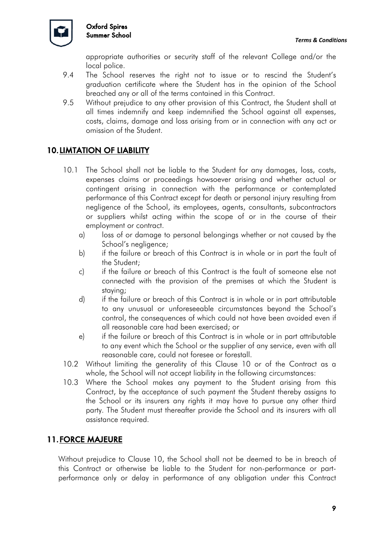

appropriate authorities or security staff of the relevant College and/or the local police.

- 9.4 The School reserves the right not to issue or to rescind the Student's graduation certificate where the Student has in the opinion of the School breached any or all of the terms contained in this Contract.
- 9.5 Without prejudice to any other provision of this Contract, the Student shall at all times indemnify and keep indemnified the School against all expenses, costs, claims, damage and loss arising from or in connection with any act or omission of the Student.

## 10.LIMTATION OF LIABILITY

- 10.1 The School shall not be liable to the Student for any damages, loss, costs, expenses claims or proceedings howsoever arising and whether actual or contingent arising in connection with the performance or contemplated performance of this Contract except for death or personal injury resulting from negligence of the School, its employees, agents, consultants, subcontractors or suppliers whilst acting within the scope of or in the course of their employment or contract.
	- a) loss of or damage to personal belongings whether or not caused by the School's negligence;
	- b) if the failure or breach of this Contract is in whole or in part the fault of the Student;
	- c) if the failure or breach of this Contract is the fault of someone else not connected with the provision of the premises at which the Student is staying;
	- d) if the failure or breach of this Contract is in whole or in part attributable to any unusual or unforeseeable circumstances beyond the School's control, the consequences of which could not have been avoided even if all reasonable care had been exercised; or
	- e) if the failure or breach of this Contract is in whole or in part attributable to any event which the School or the supplier of any service, even with all reasonable care, could not foresee or forestall.
- 10.2 Without limiting the generality of this Clause 10 or of the Contract as a whole, the School will not accept liability in the following circumstances:
- 10.3 Where the School makes any payment to the Student arising from this Contract, by the acceptance of such payment the Student thereby assigns to the School or its insurers any rights it may have to pursue any other third party. The Student must thereafter provide the School and its insurers with all assistance required.

### 11.FORCE MAJEURE

Without prejudice to Clause 10, the School shall not be deemed to be in breach of this Contract or otherwise be liable to the Student for non-performance or partperformance only or delay in performance of any obligation under this Contract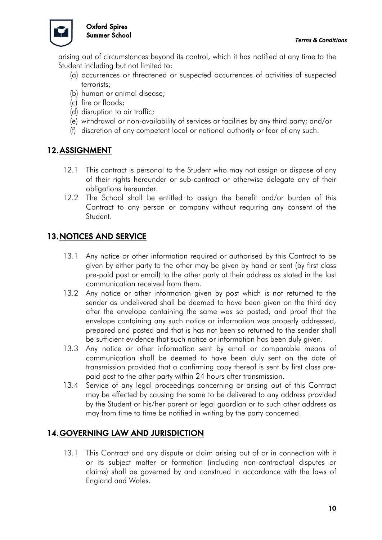

arising out of circumstances beyond its control, which it has notified at any time to the Student including but not limited to:

- (a) occurrences or threatened or suspected occurrences of activities of suspected terrorists;
- (b) human or animal disease;
- (c) fire or floods;
- (d) disruption to air traffic;
- (e) withdrawal or non-availability of services or facilities by any third party; and/or
- (f) discretion of any competent local or national authority or fear of any such.

#### 12.ASSIGNMENT

- 12.1 This contract is personal to the Student who may not assign or dispose of any of their rights hereunder or sub-contract or otherwise delegate any of their obligations hereunder.
- 12.2 The School shall be entitled to assign the benefit and/or burden of this Contract to any person or company without requiring any consent of the Student.

#### 13.NOTICES AND SERVICE

- 13.1 Any notice or other information required or authorised by this Contract to be given by either party to the other may be given by hand or sent (by first class pre-paid post or email) to the other party at their address as stated in the last communication received from them.
- 13.2 Any notice or other information given by post which is not returned to the sender as undelivered shall be deemed to have been given on the third day after the envelope containing the same was so posted; and proof that the envelope containing any such notice or information was properly addressed, prepared and posted and that is has not been so returned to the sender shall be sufficient evidence that such notice or information has been duly given.
- 13.3 Any notice or other information sent by email or comparable means of communication shall be deemed to have been duly sent on the date of transmission provided that a confirming copy thereof is sent by first class prepaid post to the other party within 24 hours after transmission.
- 13.4 Service of any legal proceedings concerning or arising out of this Contract may be effected by causing the same to be delivered to any address provided by the Student or his/her parent or legal guardian or to such other address as may from time to time be notified in writing by the party concerned.

### 14.GOVERNING LAW AND JURISDICTION

13.1 This Contract and any dispute or claim arising out of or in connection with it or its subject matter or formation (including non-contractual disputes or claims) shall be governed by and construed in accordance with the laws of England and Wales.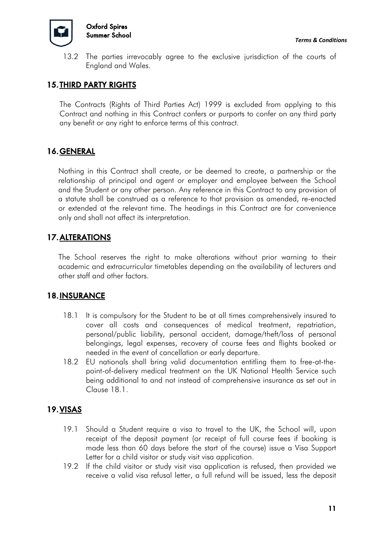

13.2 The parties irrevocably agree to the exclusive jurisdiction of the courts of England and Wales.

#### 15.THIRD PARTY RIGHTS

The Contracts (Rights of Third Parties Act) 1999 is excluded from applying to this Contract and nothing in this Contract confers or purports to confer on any third party any benefit or any right to enforce terms of this contract.

#### 16.GENERAL

Nothing in this Contract shall create, or be deemed to create, a partnership or the relationship of principal and agent or employer and employee between the School and the Student or any other person. Any reference in this Contract to any provision of a statute shall be construed as a reference to that provision as amended, re-enacted or extended at the relevant time. The headings in this Contract are for convenience only and shall not affect its interpretation.

### 17.ALTERATIONS

The School reserves the right to make alterations without prior warning to their academic and extracurricular timetables depending on the availability of lecturers and other staff and other factors.

#### 18.INSURANCE

- 18.1 It is compulsory for the Student to be at all times comprehensively insured to cover all costs and consequences of medical treatment, repatriation, personal/public liability, personal accident, damage/theft/loss of personal belongings, legal expenses, recovery of course fees and flights booked or needed in the event of cancellation or early departure.
- 18.2 EU nationals shall bring valid documentation entitling them to free-at-thepoint-of-delivery medical treatment on the UK National Health Service such being additional to and not instead of comprehensive insurance as set out in Clause 18.1.

### 19.VISAS

- 19.1 Should a Student require a visa to travel to the UK, the School will, upon receipt of the deposit payment (or receipt of full course fees if booking is made less than 60 days before the start of the course) issue a Visa Support Letter for a child visitor or study visit visa application.
- 19.2 If the child visitor or study visit visa application is refused, then provided we receive a valid visa refusal letter, a full refund will be issued, less the deposit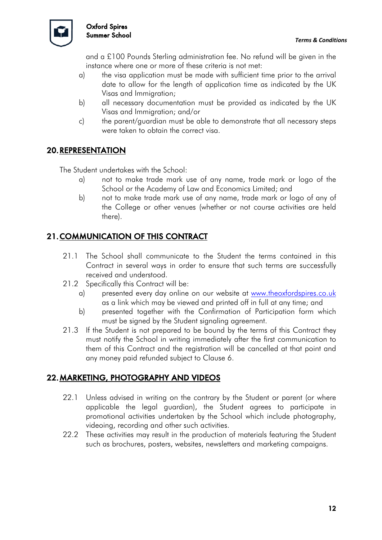

and a £100 Pounds Sterling administration fee. No refund will be given in the instance where one or more of these criteria is not met:

- a) the visa application must be made with sufficient time prior to the arrival date to allow for the length of application time as indicated by the UK Visas and Immigration;
- b) all necessary documentation must be provided as indicated by the UK Visas and Immigration; and/or
- c) the parent/guardian must be able to demonstrate that all necessary steps were taken to obtain the correct visa.

### 20.REPRESENTATION

The Student undertakes with the School:

- a) not to make trade mark use of any name, trade mark or logo of the School or the Academy of Law and Economics Limited; and
- b) not to make trade mark use of any name, trade mark or logo of any of the College or other venues (whether or not course activities are held there).

## 21.COMMUNICATION OF THIS CONTRACT

- 21.1 The School shall communicate to the Student the terms contained in this Contract in several ways in order to ensure that such terms are successfully received and understood.
- 21.2 Specifically this Contract will be:
	- a) presented every day online on our website at www.theoxfordspires.co.uk as a link which may be viewed and printed off in full at any time; and
	- b) presented together with the Confirmation of Participation form which must be signed by the Student signaling agreement.
- 21.3 If the Student is not prepared to be bound by the terms of this Contract they must notify the School in writing immediately after the first communication to them of this Contract and the registration will be cancelled at that point and any money paid refunded subject to Clause 6.

### 22.MARKETING, PHOTOGRAPHY AND VIDEOS

- 22.1 Unless advised in writing on the contrary by the Student or parent (or where applicable the legal guardian), the Student agrees to participate in promotional activities undertaken by the School which include photography, videoing, recording and other such activities.
- 22.2 These activities may result in the production of materials featuring the Student such as brochures, posters, websites, newsletters and marketing campaigns.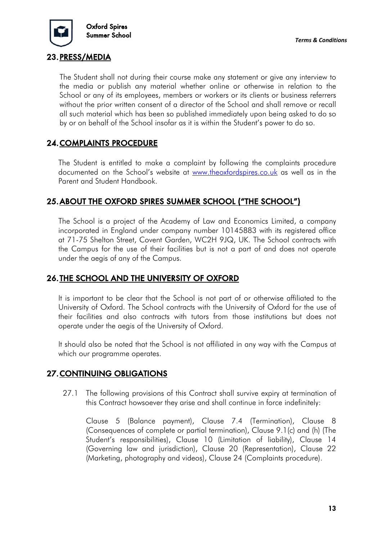

#### 23.PRESS/MEDIA

The Student shall not during their course make any statement or give any interview to the media or publish any material whether online or otherwise in relation to the School or any of its employees, members or workers or its clients or business referrers without the prior written consent of a director of the School and shall remove or recall all such material which has been so published immediately upon being asked to do so by or on behalf of the School insofar as it is within the Student's power to do so.

### 24.COMPLAINTS PROCEDURE

The Student is entitled to make a complaint by following the complaints procedure documented on the School's website at www.theoxfordspires.co.uk as well as in the Parent and Student Handbook.

#### 25.ABOUT THE OXFORD SPIRES SUMMER SCHOOL ("THE SCHOOL")

The School is a project of the Academy of Law and Economics Limited, a company incorporated in England under company number 10145883 with its registered office at 71-75 Shelton Street, Covent Garden, WC2H 9JQ, UK. The School contracts with the Campus for the use of their facilities but is not a part of and does not operate under the aegis of any of the Campus.

#### 26.THE SCHOOL AND THE UNIVERSITY OF OXFORD

It is important to be clear that the School is not part of or otherwise affiliated to the University of Oxford. The School contracts with the University of Oxford for the use of their facilities and also contracts with tutors from those institutions but does not operate under the aegis of the University of Oxford.

It should also be noted that the School is not affiliated in any way with the Campus at which our programme operates.

### 27.CONTINUING OBLIGATIONS

27.1 The following provisions of this Contract shall survive expiry at termination of this Contract howsoever they arise and shall continue in force indefinitely:

Clause 5 (Balance payment), Clause 7.4 (Termination), Clause 8 (Consequences of complete or partial termination), Clause 9.1(c) and (h) (The Student's responsibilities), Clause 10 (Limitation of liability), Clause 14 (Governing law and jurisdiction), Clause 20 (Representation), Clause 22 (Marketing, photography and videos), Clause 24 (Complaints procedure).